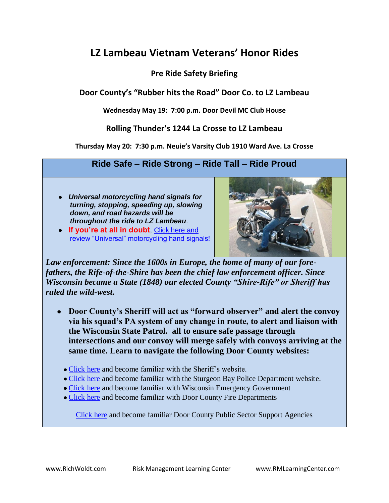## **LZ Lambeau Vietnam Veterans' Honor Rides**

#### **Pre Ride Safety Briefing**

**Door County's "Rubber hits the Road" Door Co. to LZ Lambeau**

**Wednesday May 19: 7:00 p.m. Door Devil MC Club House**

#### **Rolling Thunder's 1244 La Crosse to LZ Lambeau**

**Thursday May 20: 7:30 p.m. Neuie's Varsity Club 1910 Ward Ave. La Crosse**

#### **Ride Safe – Ride Strong – Ride Tall – Ride Proud**

- *Universal motorcycling hand signals for turning, stopping, speeding up, slowing down, and road hazards will be throughout the ride to LZ Lambeau*.
- **If you're at all in doubt**, [Click here and](http://www.ridemyown.com/articles/safety/handsignals.shtml)  [review "Universal" motorcycling hand signals!](http://www.ridemyown.com/articles/safety/handsignals.shtml)



*Law enforcement: Since the 1600s in Europe, the home of many of our forefathers, the Rife-of-the-Shire has been the chief law enforcement officer. Since Wisconsin became a State (1848) our elected County "Shire-Rife" or Sheriff has ruled the wild-west.*

- **Door County's Sheriff will act as "forward observer" and alert the convoy via his squad's PA system of any change in route, to alert and liaison with the Wisconsin State Patrol. all to ensure safe passage through intersections and our convoy will merge safely with convoys arriving at the same time. Learn to navigate the following Door County websites:** 
	- [Click here](http://www.co.door.wi.gov/localgov_staff.asp?deptid=52&locid=137) and become familiar with the Sheriff's website.
	- [Click here](http://www.google.com/search?hl=en&source=hp&q=sturgeon+bay+police+department&aq=0&aqi=g1&aql=&oq=Sturgeon+Bay+Poli&gs_rfai=) and become familiar with the Sturgeon Bay Police Department website.
	- [Click here](http://www.google.com/search?hl=en&q=wisconsin+emergency+management&aq=0c&aqi=g-c3&aql=&oq=Wisc+emergency+management&gs_rfai=) and become familiar with Wisconsin Emergency Government
	- [Click here](http://www.google.com/search?hl=en&q=door+county+fire+department&aq=0&aqi=g2&aql=&oq=Door+County+Fire+&gs_rfai=) and become familiar with Door County Fire Departments

[Click here](http://www.co.door.wi.gov/localgov_staff_search.asp?locid=137) and become familiar Door County Public Sector Support Agencies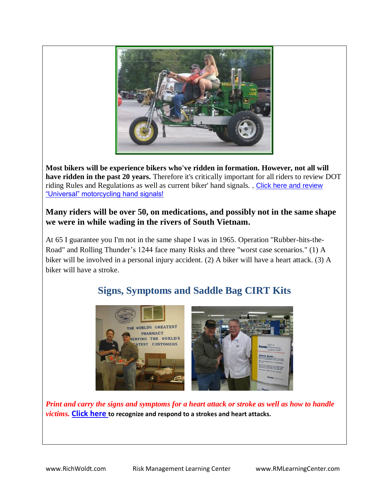

**Most bikers will be experience bikers who've ridden in formation. However, not all will have ridden in the past 20 years.** Therefore it's critically important for all riders to review DOT riding Rules and Regulations as well as current biker' hand signals. , [Click here and review](http://www.ridemyown.com/articles/safety/handsignals.shtml)  ["Universal" motorcycling hand signals!](http://www.ridemyown.com/articles/safety/handsignals.shtml)

#### **Many riders will be over 50, on medications, and possibly not in the same shape we were in while wading in the rivers of South Vietnam.**

At 65 I guarantee you I'm not in the same shape I was in 1965. Operation "Rubber-hits-the-Road" and Rolling Thunder's 1244 face many Risks and three "worst case scenarios." (1) A biker will be involved in a personal injury accident. (2) A biker will have a heart attack. (3) A biker will have a stroke.

## **Signs, Symptoms and Saddle Bag CIRT Kits**



*Print and carry the signs and symptoms for a heart attack or stroke as well as how to handle victims.* **[Click here](http://www.google.com/search?hl=en&source=hp&q=stroke+symptoms&aq=1&aqi=g10&aql=&oq=strok&gs_rfai=) to recognize and respond to a strokes and heart attacks.**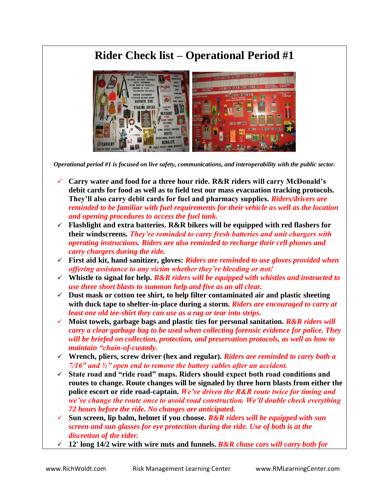## **Rider Check list – Operational Period #1**



*Operational period #1 is focused on live safety, communications, and interoperability with the public sector.*

- **Carry water and food for a three hour ride. R&R riders will carry McDonald's debit cards for food as well as to field test our mass evacuation tracking protocols. They'll also carry debit cards for fuel and pharmacy supplies.** *Riders/drivers are reminded to be familiar with fuel requirements for their vehicle as well as the location and opening procedures to access the fuel tank.*
- **Flashlight and extra batteries. R&R bikers will be equipped with red flashers for their windscreens.** *They're reminded to carry fresh batteries and unit chargers with operating instructions. Riders are also reminded to recharge their cell phones and carry chargers during the ride.*
- **First aid kit, hand sanitizer, gloves:** *Riders are reminded to use gloves provided when offering assistance to any victim whether they're bleeding or not!*
- **Whistle to signal for help.** *R&R riders will be equipped with whistles and instructed to use three short blasts to summon help and five as an all clear.*
- **Dust mask or cotton tee shirt, to help filter contaminated air and plastic sheeting with duck tape to shelter-in-place during a storm.** *Riders are encouraged to carry at least one old tee-shirt they can use as a rag or tear into strips.*
- **Moist towels, garbage bags and plastic ties for personal sanitation.** *R&R riders will carry a clear garbage bag to be used when collecting forensic evidence for police. They will be briefed on collection, protection, and preservation protocols, as well as how to maintain "chain-of-custody.*
- **Wrench, pliers, screw driver (hex and regular).** *Riders are reminded to carry both a 7/16" and ½" open end to remove the battery cables after an accident.*
- **State road and "ride road" maps. Riders should expect both road conditions and routes to change. Route changes will be signaled by three horn blasts from either the police escort or ride road-captain.** *We've driven the R&R route twice for timing and we've change the route once to avoid road construction. We'll double check everything 72 hours before the ride. No changes are anticipated.*
- **Sun screen, lip balm, helmet if you choose.** *R&R riders will be equipped with sun screen and sun glasses for eye protection during the ride. Use of both is at the discretion of the rider.*
- **12' long 14/2 wire with wire nuts and funnels.** *R&R chase cars will carry both for*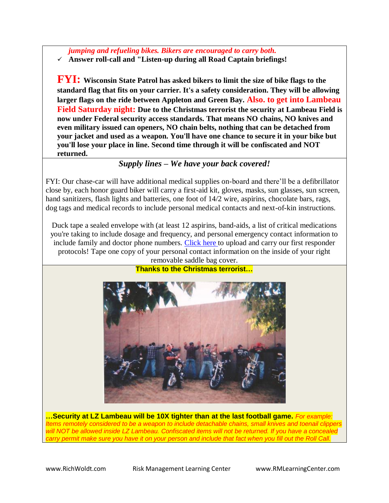*jumping and refueling bikes. Bikers are encouraged to carry both.*

**Answer roll-call and "Listen-up during all Road Captain briefings!**

**FYI: Wisconsin State Patrol has asked bikers to limit the size of bike flags to the standard flag that fits on your carrier. It's a safety consideration. They will be allowing larger flags on the ride between Appleton and Green Bay. Also. to get into Lambeau Field Saturday night: Due to the Christmas terrorist the security at Lambeau Field is now under Federal security access standards. That means NO chains, NO knives and even military issued can openers, NO chain belts, nothing that can be detached from your jacket and used as a weapon. You'll have one chance to secure it in your bike but you'll lose your place in line. Second time through it will be confiscated and NOT returned.** 

#### *Supply lines – We have your back covered!*

FYI: Our chase-car will have additional medical supplies on-board and there'll be a defibrillator close by, each honor guard biker will carry a first-aid kit, gloves, masks, sun glasses, sun screen, hand sanitizers, flash lights and batteries, one foot of 14/2 wire, aspirins, chocolate bars, rags, dog tags and medical records to include personal medical contacts and next-of-kin instructions.

Duck tape a sealed envelope with (at least 12 aspirins, band-aids, a list of critical medications you're taking to include dosage and frequency, and personal emergency contact information to include family and doctor phone numbers. [Click](../3_fold_Pdf_ICS_1st_Responder_Protocols_1-06_post.pdf) here to upload and carry our first responder protocols! Tape one copy of your personal contact information on the inside of your right removable saddle bag cover.



**Thanks to the Christmas terrorist…**

**…Security at LZ Lambeau will be 10X tighter than at the last football game.** *For example: Items remotely considered to be a weapon to include detachable chains, small knives and toenail clippers will NOT be allowed inside LZ Lambeau. Confiscated items will not be returned. If you have a concealed carry permit make sure you have it on your person and include that fact when you fill out the Roll Call.*

www.RichWoldt.com Risk Management Learning Center www.RMLearningCenter.com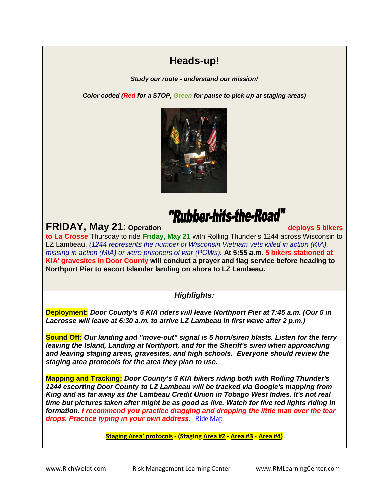## **Heads-up!**

*Study our route - understand our mission!*

*Color coded (Red for a STOP, Green for pause to pick up at staging areas)*



## "Rubber-hits-the-Road"

**FRIDAY, May 21:** Operation **The Contract of the Contract of the Contract of the Contract of the Contract of the Contract of the Contract of the Contract of the Contract of the Contract of the Contract of the Contract of t** 

**to La Crosse** Thursday to ride **Friday, May 21** with Rolling Thunder's 1244 across Wisconsin to LZ Lambeau. *(1244 represents the number of Wisconsin Vietnam vets killed in action (KIA), missing in action (MIA) or were prisoners of war (POWs).* **At 5:55 a.m. 5 bikers stationed at KIA' gravesites in Door County will conduct a prayer and flag service before heading to Northport Pier to escort Islander landing on shore to LZ Lambeau.**

*Highlights:*

**Deployment:** *Door County's 5 KIA riders will leave Northport Pier at 7:45 a.m. (Our 5 in Lacrosse will leave at 6:30 a.m. to arrive LZ Lambeau in first wave after 2 p.m.)*

**Sound Off:** *Our landing and "move-out" signal is 5 horn/siren blasts. Listen for the ferry leaving the Island, Landing at Northport, and for the Sheriff's siren when approaching and leaving staging areas, gravesites, and high schools. Everyone should review the staging area protocols for the area they plan to use.*

**Mapping and Tracking:** *Door County's 5 KIA bikers riding both with Rolling Thunder's 1244 escorting Door County to LZ Lambeau will be tracked via Google's mapping from King and as far away as the Lambeau Credit Union in Tobago West Indies. It's not real time but pictures taken after might be as good as live. Watch for five red lights riding in formation. I recommend you practice dragging and dropping the little man over the tear drops. Practice typing in your own address.* [Ride Map](http://maps.google.com/maps/ms?source=s_q&hl=en&geocode=&ie=UTF8&hq=www.pioneercu.org&hnear=&msa=0&msid=101301057216760129507.000484cab0030628e13dc&ll=43.909271,-91.079407&spn=0.223598,0.615921&z=11&iwloc=000484cb2c833eb160299)

**[Staging Area' protocols](../../index.htm#Staging Area Protocols) - (Staging [Area #2](../../index.htm#Staging Area 2) - [Area #3](../../index.htm#Staging Area 3) - [Area #4\)](../../index.htm#Staging Area 4)**

www.RichWoldt.com Risk Management Learning Center www.RMLearningCenter.com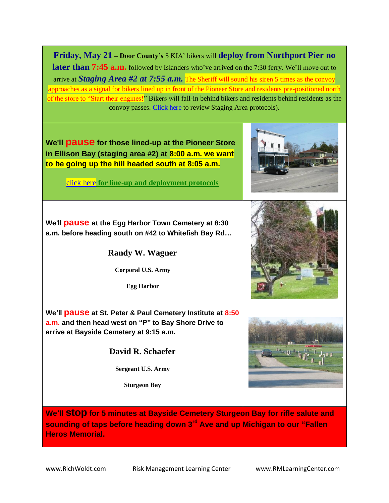**Friday, May 21 – Door County's** 5 KIA' bikers will **deploy from Northport Pier no later than 7:45 a.m.** followed by Islanders who've arrived on the 7:30 ferry. We'll move out to arrive at *Staging Area #2 at 7:55 a.m.* The Sheriff will sound his siren 5 times as the convoy approaches as a signal for bikers lined up in front of the Pioneer Store and residents pre-positioned north of the store to "Start their engines!" Bikers will fall-in behind bikers and residents behind residents as the convoy passes. [Click here](LZLambeauStagingAreaMgmtApril10.pdf) to review Staging Area protocols).



**We'll stop for 5 minutes at Bayside Cemetery Sturgeon Bay for rifle salute and sounding of taps before heading down 3rd Ave and up Michigan to our "Fallen Heros Memorial.** 

www.RichWoldt.com Risk Management Learning Center www.RMLearning Center.com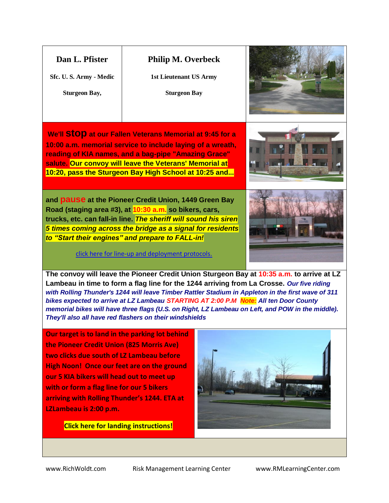| Dan L. Pfister<br>Sfc. U.S. Army - Medic<br><b>Sturgeon Bay,</b>                                                                                                                                                                                                                                                                                                                                                                                                                                                                                                  | <b>Philip M. Overbeck</b><br><b>1st Lieutenant US Army</b><br><b>Sturgeon Bay</b> |  |  |  |
|-------------------------------------------------------------------------------------------------------------------------------------------------------------------------------------------------------------------------------------------------------------------------------------------------------------------------------------------------------------------------------------------------------------------------------------------------------------------------------------------------------------------------------------------------------------------|-----------------------------------------------------------------------------------|--|--|--|
| We'll StOP at our Fallen Veterans Memorial at 9:45 for a<br>10:00 a.m. memorial service to include laying of a wreath,<br>reading of KIA names, and a bag-pipe "Amazing Grace"<br>salute. Our convoy will leave the Veterans' Memorial at<br>10:20, pass the Sturgeon Bay High School at 10:25 and                                                                                                                                                                                                                                                                |                                                                                   |  |  |  |
| and <b>pause</b> at the Pioneer Credit Union, 1449 Green Bay<br>Road (staging area #3), at <mark>10:30 a.m.</mark> so bikers, cars,<br>trucks, etc. can fall-in line. <mark>The sheriff will sound his siren</mark><br>5 times coming across the bridge as a signal for residents<br>to "Start their engines" and prepare to FALL-in!<br>click here for line-up and deployment protocols.                                                                                                                                                                         |                                                                                   |  |  |  |
| The convoy will leave the Pioneer Credit Union Sturgeon Bay at 10:35 a.m. to arrive at LZ<br>Lambeau in time to form a flag line for the 1244 arriving from La Crosse. Our five riding<br>with Rolling Thunder's 1244 will leave Timber Rattler Stadium in Appleton in the first wave of 311<br>bikes expected to arrive at LZ Lambeau STARTING AT 2:00 P.M <mark>Note:</mark> All ten Door County<br>memorial bikes will have three flags (U.S. on Right, LZ Lambeau on Left, and POW in the middle).<br>They'll also all have red flashers on their windshields |                                                                                   |  |  |  |
| Our target is to land in the parking lot behind<br>the Pioneer Credit Union (825 Morris Ave)<br>two clicks due south of LZ Lambeau before<br><b>High Noon! Once our feet are on the ground</b><br>our 5 KIA bikers will head out to meet up<br>with or form a flag line for our 5 bikers<br>arriving with Rolling Thunder's 1244. ETA at<br>LZLambeau is 2:00 p.m.                                                                                                                                                                                                |                                                                                   |  |  |  |

**Click here for landing instructions!**

www.RichWoldt.com Risk Management Learning Center www.RMLearning Center.com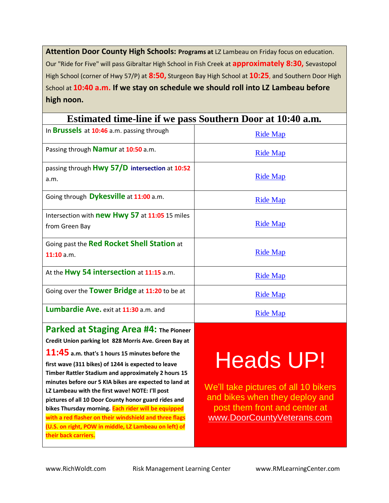Attention Door County High Schools: Programs at LZ Lambeau on Friday focus on education. Our "Ride for Five" will pass Gibraltar High School in Fish Creek at **approximately 8:30,** Sevastopol High School (corner of Hwy 57/P) at **8:50,** Sturgeon Bay High School at **10:25**, and Southern Door High School at **10:40 a.m. If we stay on schedule we should roll into LZ Lambeau before high noon.** 

| Esumated time-line if we pass southern Door at 10:40 a.m. |                 |  |  |  |
|-----------------------------------------------------------|-----------------|--|--|--|
| In <b>Brussels</b> at 10:46 a.m. passing through          | <b>Ride Map</b> |  |  |  |
| Passing through <b>Namur</b> at 10:50 a.m.                | <b>Ride Map</b> |  |  |  |
| passing through Hwy 57/D intersection at 10:52            |                 |  |  |  |
| a.m.                                                      | <b>Ride Map</b> |  |  |  |
| Going through Dykesville at 11:00 a.m.                    | <b>Ride Map</b> |  |  |  |
| Intersection with <b>new Hwy 57</b> at 11:05 15 miles     |                 |  |  |  |
| from Green Bay                                            | <b>Ride Map</b> |  |  |  |
| Going past the Red Rocket Shell Station at                |                 |  |  |  |
| $11:10$ a.m.                                              | <b>Ride Map</b> |  |  |  |
| At the Hwy 54 intersection at 11:15 a.m.                  | <b>Ride Map</b> |  |  |  |
| Going over the Tower Bridge at 11:20 to be at             | <b>Ride Map</b> |  |  |  |
| Lumbardie Ave. exit at 11:30 a.m. and                     | <b>Ride Map</b> |  |  |  |
| Darkad at Staging Aras #1. The Bigg                       |                 |  |  |  |

#### **Estimated time-line if we pass Southern Door at 10:40 a.m.**

**Parked at Staging Area #4: The Pioneer Credit Union parking lot 828 Morris Ave. Green Bay at 11:45 a.m. that's 1 hours 15 minutes before the first wave (311 bikes) of 1244 is expected to leave Timber Rattler Stadium and approximately 2 hours 15 minutes before our 5 KIA bikes are expected to land at LZ Lambeau with the first wave! NOTE: I'll post pictures of all 10 Door County honor guard rides and bikes Thursday morning. Each rider will be equipped with a red flasher on their windshield and three flags (U.S. on right, POW in middle, LZ Lambeau on left) of their back carriers.** 

# Heads UP!

We'll take pictures of all 10 bikers and bikes when they deploy and post them front and center at [www.DoorCountyVeterans.com](http://www.doorcountyveterans.com/)